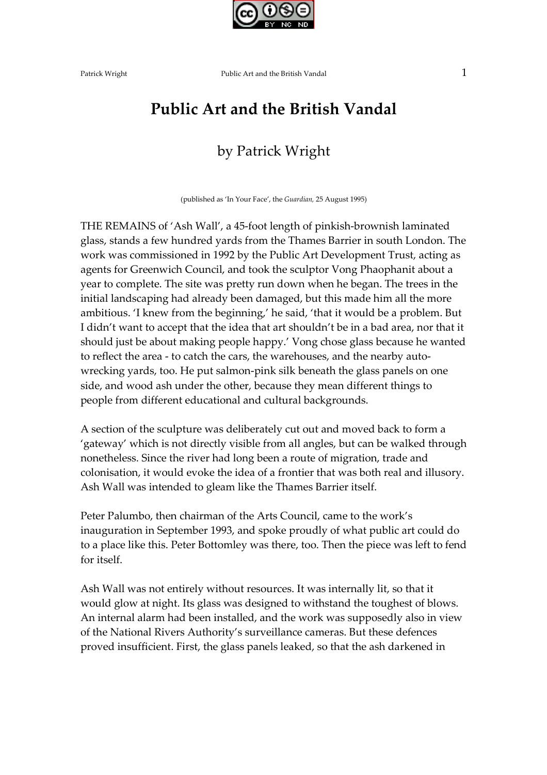

## Public Art and the British Vandal

### by Patrick Wright

(published as 'In Your Face', the Guardian, 25 August 1995)

THE REMAINS of 'Ash Wall', a 45-foot length of pinkish-brownish laminated glass, stands a few hundred yards from the Thames Barrier in south London. The work was commissioned in 1992 by the Public Art Development Trust, acting as agents for Greenwich Council, and took the sculptor Vong Phaophanit about a year to complete. The site was pretty run down when he began. The trees in the initial landscaping had already been damaged, but this made him all the more ambitious. 'I knew from the beginning,' he said, 'that it would be a problem. But I didn't want to accept that the idea that art shouldn't be in a bad area, nor that it should just be about making people happy.' Vong chose glass because he wanted to reflect the area - to catch the cars, the warehouses, and the nearby autowrecking yards, too. He put salmon-pink silk beneath the glass panels on one side, and wood ash under the other, because they mean different things to people from different educational and cultural backgrounds.

A section of the sculpture was deliberately cut out and moved back to form a 'gateway' which is not directly visible from all angles, but can be walked through nonetheless. Since the river had long been a route of migration, trade and colonisation, it would evoke the idea of a frontier that was both real and illusory. Ash Wall was intended to gleam like the Thames Barrier itself.

Peter Palumbo, then chairman of the Arts Council, came to the work's inauguration in September 1993, and spoke proudly of what public art could do to a place like this. Peter Bottomley was there, too. Then the piece was left to fend for itself.

Ash Wall was not entirely without resources. It was internally lit, so that it would glow at night. Its glass was designed to withstand the toughest of blows. An internal alarm had been installed, and the work was supposedly also in view of the National Rivers Authority's surveillance cameras. But these defences proved insufficient. First, the glass panels leaked, so that the ash darkened in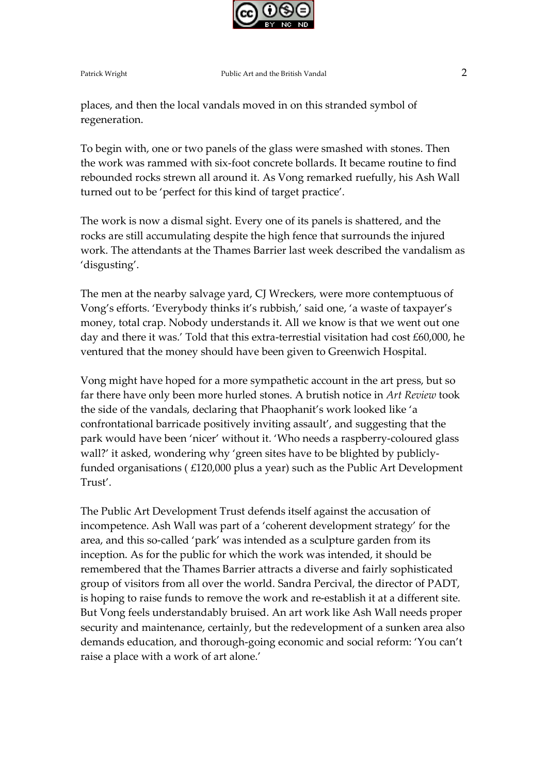

places, and then the local vandals moved in on this stranded symbol of regeneration.

To begin with, one or two panels of the glass were smashed with stones. Then the work was rammed with six-foot concrete bollards. It became routine to find rebounded rocks strewn all around it. As Vong remarked ruefully, his Ash Wall turned out to be 'perfect for this kind of target practice'.

The work is now a dismal sight. Every one of its panels is shattered, and the rocks are still accumulating despite the high fence that surrounds the injured work. The attendants at the Thames Barrier last week described the vandalism as 'disgusting'.

The men at the nearby salvage yard, CJ Wreckers, were more contemptuous of Vong's efforts. 'Everybody thinks it's rubbish,' said one, 'a waste of taxpayer's money, total crap. Nobody understands it. All we know is that we went out one day and there it was.' Told that this extra-terrestial visitation had cost £60,000, he ventured that the money should have been given to Greenwich Hospital.

Vong might have hoped for a more sympathetic account in the art press, but so far there have only been more hurled stones. A brutish notice in Art Review took the side of the vandals, declaring that Phaophanit's work looked like 'a confrontational barricade positively inviting assault', and suggesting that the park would have been 'nicer' without it. 'Who needs a raspberry-coloured glass wall?' it asked, wondering why 'green sites have to be blighted by publiclyfunded organisations ( £120,000 plus a year) such as the Public Art Development Trust'.

The Public Art Development Trust defends itself against the accusation of incompetence. Ash Wall was part of a 'coherent development strategy' for the area, and this so-called 'park' was intended as a sculpture garden from its inception. As for the public for which the work was intended, it should be remembered that the Thames Barrier attracts a diverse and fairly sophisticated group of visitors from all over the world. Sandra Percival, the director of PADT, is hoping to raise funds to remove the work and re-establish it at a different site. But Vong feels understandably bruised. An art work like Ash Wall needs proper security and maintenance, certainly, but the redevelopment of a sunken area also demands education, and thorough-going economic and social reform: 'You can't raise a place with a work of art alone.'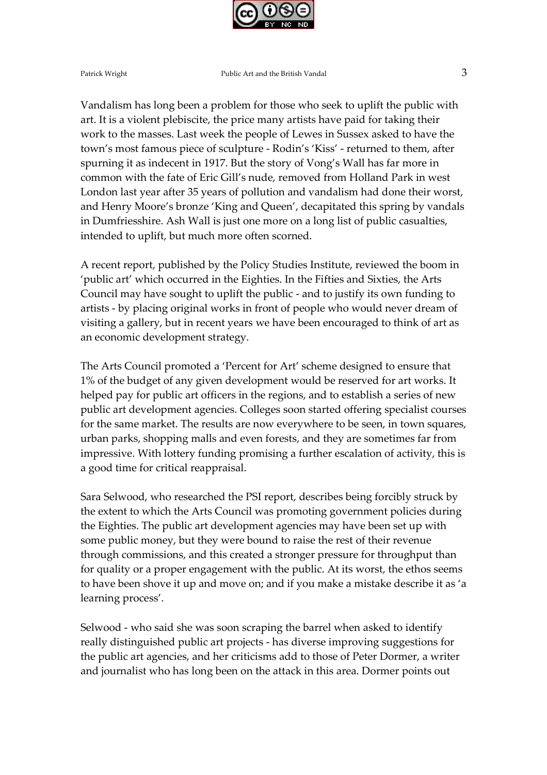

Vandalism has long been a problem for those who seek to uplift the public with art. It is a violent plebiscite, the price many artists have paid for taking their work to the masses. Last week the people of Lewes in Sussex asked to have the town's most famous piece of sculpture - Rodin's 'Kiss' - returned to them, after spurning it as indecent in 1917. But the story of Vong's Wall has far more in common with the fate of Eric Gill's nude, removed from Holland Park in west London last year after 35 years of pollution and vandalism had done their worst, and Henry Moore's bronze 'King and Queen', decapitated this spring by vandals in Dumfriesshire. Ash Wall is just one more on a long list of public casualties, intended to uplift, but much more often scorned.

A recent report, published by the Policy Studies Institute, reviewed the boom in 'public art' which occurred in the Eighties. In the Fifties and Sixties, the Arts Council may have sought to uplift the public - and to justify its own funding to artists - by placing original works in front of people who would never dream of visiting a gallery, but in recent years we have been encouraged to think of art as an economic development strategy.

The Arts Council promoted a 'Percent for Art' scheme designed to ensure that 1% of the budget of any given development would be reserved for art works. It helped pay for public art officers in the regions, and to establish a series of new public art development agencies. Colleges soon started offering specialist courses for the same market. The results are now everywhere to be seen, in town squares, urban parks, shopping malls and even forests, and they are sometimes far from impressive. With lottery funding promising a further escalation of activity, this is a good time for critical reappraisal.

Sara Selwood, who researched the PSI report, describes being forcibly struck by the extent to which the Arts Council was promoting government policies during the Eighties. The public art development agencies may have been set up with some public money, but they were bound to raise the rest of their revenue through commissions, and this created a stronger pressure for throughput than for quality or a proper engagement with the public. At its worst, the ethos seems to have been shove it up and move on; and if you make a mistake describe it as 'a learning process'.

Selwood - who said she was soon scraping the barrel when asked to identify really distinguished public art projects - has diverse improving suggestions for the public art agencies, and her criticisms add to those of Peter Dormer, a writer and journalist who has long been on the attack in this area. Dormer points out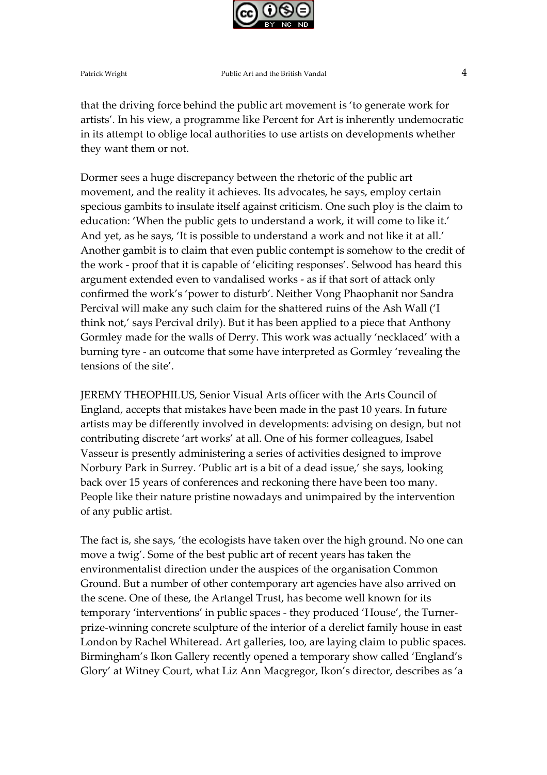

Patrick Wright **Public Art and the British Vandal Public Art and the British Vandal** 

that the driving force behind the public art movement is 'to generate work for artists'. In his view, a programme like Percent for Art is inherently undemocratic in its attempt to oblige local authorities to use artists on developments whether they want them or not.

Dormer sees a huge discrepancy between the rhetoric of the public art movement, and the reality it achieves. Its advocates, he says, employ certain specious gambits to insulate itself against criticism. One such ploy is the claim to education: 'When the public gets to understand a work, it will come to like it.' And yet, as he says, 'It is possible to understand a work and not like it at all.' Another gambit is to claim that even public contempt is somehow to the credit of the work - proof that it is capable of 'eliciting responses'. Selwood has heard this argument extended even to vandalised works - as if that sort of attack only confirmed the work's 'power to disturb'. Neither Vong Phaophanit nor Sandra Percival will make any such claim for the shattered ruins of the Ash Wall ('I think not,' says Percival drily). But it has been applied to a piece that Anthony Gormley made for the walls of Derry. This work was actually 'necklaced' with a burning tyre - an outcome that some have interpreted as Gormley 'revealing the tensions of the site'.

JEREMY THEOPHILUS, Senior Visual Arts officer with the Arts Council of England, accepts that mistakes have been made in the past 10 years. In future artists may be differently involved in developments: advising on design, but not contributing discrete 'art works' at all. One of his former colleagues, Isabel Vasseur is presently administering a series of activities designed to improve Norbury Park in Surrey. 'Public art is a bit of a dead issue,' she says, looking back over 15 years of conferences and reckoning there have been too many. People like their nature pristine nowadays and unimpaired by the intervention of any public artist.

The fact is, she says, 'the ecologists have taken over the high ground. No one can move a twig'. Some of the best public art of recent years has taken the environmentalist direction under the auspices of the organisation Common Ground. But a number of other contemporary art agencies have also arrived on the scene. One of these, the Artangel Trust, has become well known for its temporary 'interventions' in public spaces - they produced 'House', the Turnerprize-winning concrete sculpture of the interior of a derelict family house in east London by Rachel Whiteread. Art galleries, too, are laying claim to public spaces. Birmingham's Ikon Gallery recently opened a temporary show called 'England's Glory' at Witney Court, what Liz Ann Macgregor, Ikon's director, describes as 'a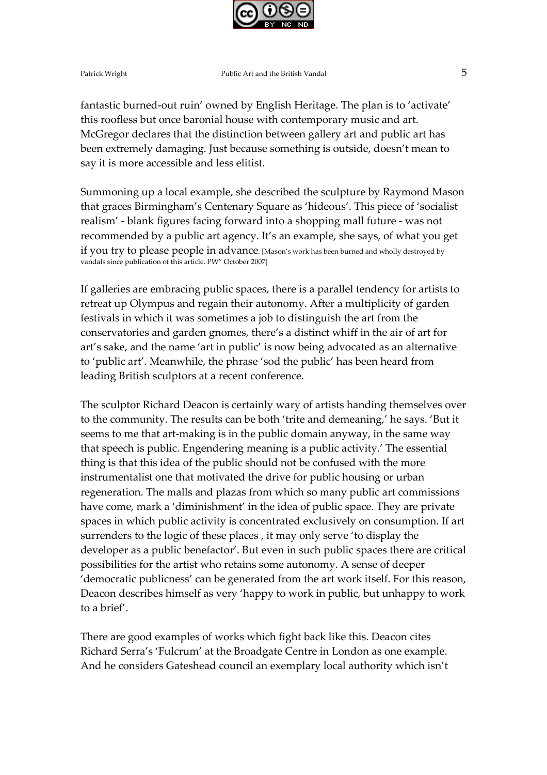

fantastic burned-out ruin' owned by English Heritage. The plan is to 'activate' this roofless but once baronial house with contemporary music and art. McGregor declares that the distinction between gallery art and public art has been extremely damaging. Just because something is outside, doesn't mean to say it is more accessible and less elitist.

Summoning up a local example, she described the sculpture by Raymond Mason that graces Birmingham's Centenary Square as 'hideous'. This piece of 'socialist realism' - blank figures facing forward into a shopping mall future - was not recommended by a public art agency. It's an example, she says, of what you get if you try to please people in advance. [Mason's work has been burned and wholly destroyed by vandals since publication of this article. PW" October 2007]

If galleries are embracing public spaces, there is a parallel tendency for artists to retreat up Olympus and regain their autonomy. After a multiplicity of garden festivals in which it was sometimes a job to distinguish the art from the conservatories and garden gnomes, there's a distinct whiff in the air of art for art's sake, and the name 'art in public' is now being advocated as an alternative to 'public art'. Meanwhile, the phrase 'sod the public' has been heard from leading British sculptors at a recent conference.

The sculptor Richard Deacon is certainly wary of artists handing themselves over to the community. The results can be both 'trite and demeaning,' he says. 'But it seems to me that art-making is in the public domain anyway, in the same way that speech is public. Engendering meaning is a public activity.' The essential thing is that this idea of the public should not be confused with the more instrumentalist one that motivated the drive for public housing or urban regeneration. The malls and plazas from which so many public art commissions have come, mark a 'diminishment' in the idea of public space. They are private spaces in which public activity is concentrated exclusively on consumption. If art surrenders to the logic of these places , it may only serve 'to display the developer as a public benefactor'. But even in such public spaces there are critical possibilities for the artist who retains some autonomy. A sense of deeper 'democratic publicness' can be generated from the art work itself. For this reason, Deacon describes himself as very 'happy to work in public, but unhappy to work to a brief'.

There are good examples of works which fight back like this. Deacon cites Richard Serra's 'Fulcrum' at the Broadgate Centre in London as one example. And he considers Gateshead council an exemplary local authority which isn't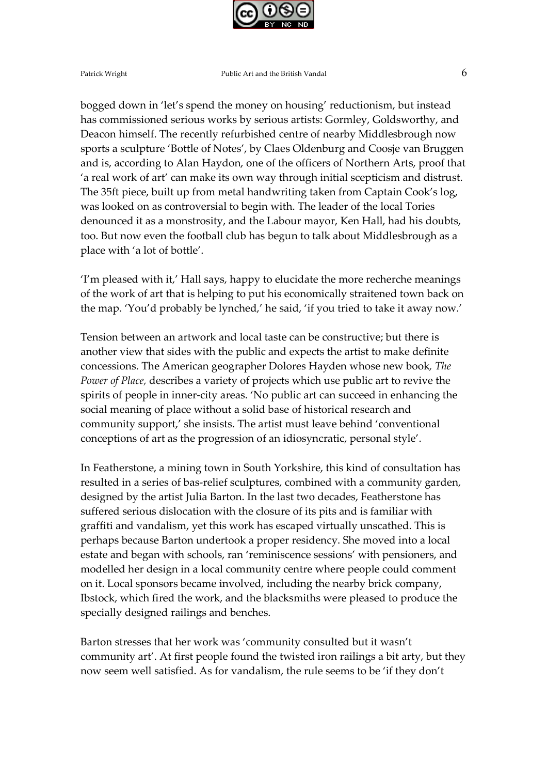

Patrick Wright **Public Art and the British Vandal Public Art and the British Vandal Public Art and the British Vandal** 

bogged down in 'let's spend the money on housing' reductionism, but instead has commissioned serious works by serious artists: Gormley, Goldsworthy, and Deacon himself. The recently refurbished centre of nearby Middlesbrough now sports a sculpture 'Bottle of Notes', by Claes Oldenburg and Coosje van Bruggen and is, according to Alan Haydon, one of the officers of Northern Arts, proof that 'a real work of art' can make its own way through initial scepticism and distrust. The 35ft piece, built up from metal handwriting taken from Captain Cook's log, was looked on as controversial to begin with. The leader of the local Tories denounced it as a monstrosity, and the Labour mayor, Ken Hall, had his doubts, too. But now even the football club has begun to talk about Middlesbrough as a place with 'a lot of bottle'.

'I'm pleased with it,' Hall says, happy to elucidate the more recherche meanings of the work of art that is helping to put his economically straitened town back on the map. 'You'd probably be lynched,' he said, 'if you tried to take it away now.'

Tension between an artwork and local taste can be constructive; but there is another view that sides with the public and expects the artist to make definite concessions. The American geographer Dolores Hayden whose new book, The Power of Place, describes a variety of projects which use public art to revive the spirits of people in inner-city areas. 'No public art can succeed in enhancing the social meaning of place without a solid base of historical research and community support,' she insists. The artist must leave behind 'conventional conceptions of art as the progression of an idiosyncratic, personal style'.

In Featherstone, a mining town in South Yorkshire, this kind of consultation has resulted in a series of bas-relief sculptures, combined with a community garden, designed by the artist Julia Barton. In the last two decades, Featherstone has suffered serious dislocation with the closure of its pits and is familiar with graffiti and vandalism, yet this work has escaped virtually unscathed. This is perhaps because Barton undertook a proper residency. She moved into a local estate and began with schools, ran 'reminiscence sessions' with pensioners, and modelled her design in a local community centre where people could comment on it. Local sponsors became involved, including the nearby brick company, Ibstock, which fired the work, and the blacksmiths were pleased to produce the specially designed railings and benches.

Barton stresses that her work was 'community consulted but it wasn't community art'. At first people found the twisted iron railings a bit arty, but they now seem well satisfied. As for vandalism, the rule seems to be 'if they don't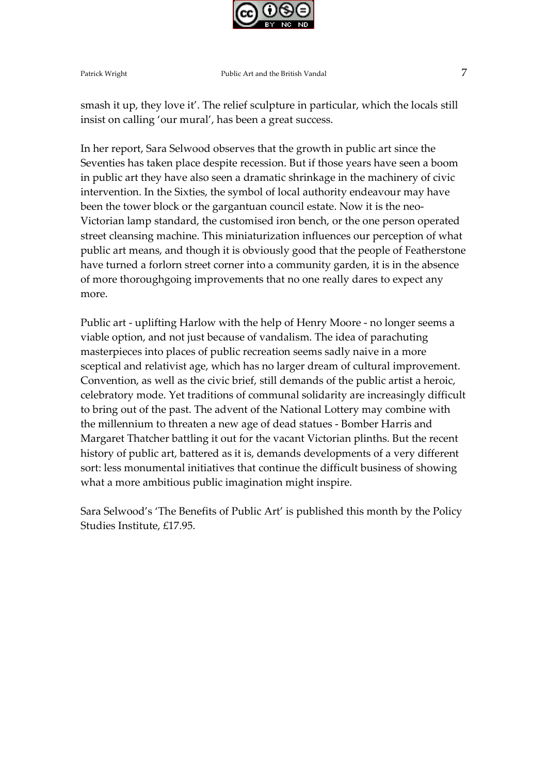

smash it up, they love it'. The relief sculpture in particular, which the locals still insist on calling 'our mural', has been a great success.

In her report, Sara Selwood observes that the growth in public art since the Seventies has taken place despite recession. But if those years have seen a boom in public art they have also seen a dramatic shrinkage in the machinery of civic intervention. In the Sixties, the symbol of local authority endeavour may have been the tower block or the gargantuan council estate. Now it is the neo-Victorian lamp standard, the customised iron bench, or the one person operated street cleansing machine. This miniaturization influences our perception of what public art means, and though it is obviously good that the people of Featherstone have turned a forlorn street corner into a community garden, it is in the absence of more thoroughgoing improvements that no one really dares to expect any more.

Public art - uplifting Harlow with the help of Henry Moore - no longer seems a viable option, and not just because of vandalism. The idea of parachuting masterpieces into places of public recreation seems sadly naive in a more sceptical and relativist age, which has no larger dream of cultural improvement. Convention, as well as the civic brief, still demands of the public artist a heroic, celebratory mode. Yet traditions of communal solidarity are increasingly difficult to bring out of the past. The advent of the National Lottery may combine with the millennium to threaten a new age of dead statues - Bomber Harris and Margaret Thatcher battling it out for the vacant Victorian plinths. But the recent history of public art, battered as it is, demands developments of a very different sort: less monumental initiatives that continue the difficult business of showing what a more ambitious public imagination might inspire.

Sara Selwood's 'The Benefits of Public Art' is published this month by the Policy Studies Institute, £17.95.